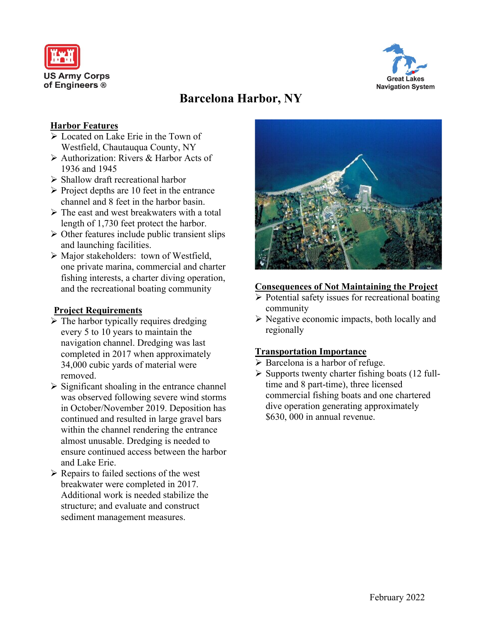



# **Barcelona Harbor, NY**

## **Harbor Features**

- ➢ Located on Lake Erie in the Town of Westfield, Chautauqua County, NY
- ➢ Authorization: Rivers & Harbor Acts of 1936 and 1945
- ➢ Shallow draft recreational harbor
- $\triangleright$  Project depths are 10 feet in the entrance channel and 8 feet in the harbor basin.
- $\triangleright$  The east and west breakwaters with a total length of 1,730 feet protect the harbor.
- $\triangleright$  Other features include public transient slips and launching facilities.
- ➢ Major stakeholders: town of Westfield, one private marina, commercial and charter fishing interests, a charter diving operation, and the recreational boating community

## **Project Requirements**

- $\triangleright$  The harbor typically requires dredging every 5 to 10 years to maintain the navigation channel. Dredging was last completed in 2017 when approximately 34,000 cubic yards of material were removed.
- $\triangleright$  Significant shoaling in the entrance channel was observed following severe wind storms in October/November 2019. Deposition has continued and resulted in large gravel bars within the channel rendering the entrance almost unusable. Dredging is needed to ensure continued access between the harbor and Lake Erie.
- $\triangleright$  Repairs to failed sections of the west breakwater were completed in 2017. Additional work is needed stabilize the structure; and evaluate and construct sediment management measures.



### **Consequences of Not Maintaining the Project**

- $\triangleright$  Potential safety issues for recreational boating community
- ➢ Negative economic impacts, both locally and regionally

### **Transportation Importance**

- ➢ Barcelona is a harbor of refuge.
- $\triangleright$  Supports twenty charter fishing boats (12 fulltime and 8 part-time), three licensed commercial fishing boats and one chartered dive operation generating approximately \$630, 000 in annual revenue.